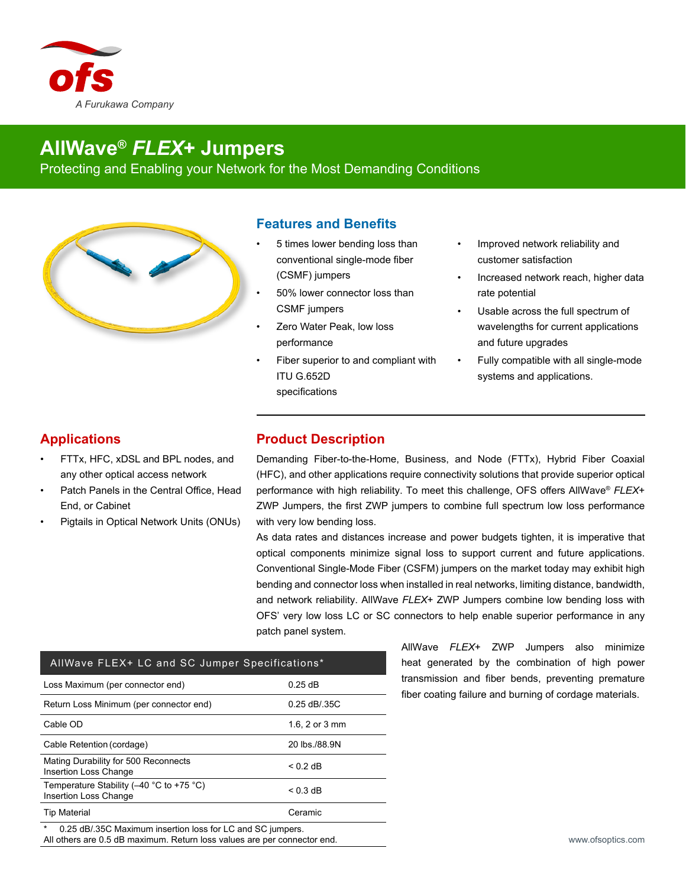

# **AllWave®** *FLEX***+ Jumpers**

Protecting and Enabling your Network for the Most Demanding Conditions



## **Features and Benefits**

- 5 times lower bending loss than conventional single-mode fiber (CSMF) jumpers
- 50% lower connector loss than CSMF jumpers
- Zero Water Peak, low loss performance
- Fiber superior to and compliant with ITU G.652D specifications
- Improved network reliability and customer satisfaction
- Increased network reach, higher data rate potential
- Usable across the full spectrum of wavelengths for current applications and future upgrades
- Fully compatible with all single-mode systems and applications.

## **Applications**

- FTTx, HFC, xDSL and BPL nodes, and any other optical access network
- Patch Panels in the Central Office, Head End, or Cabinet
- Pigtails in Optical Network Units (ONUs)

## **Product Description**

Demanding Fiber-to-the-Home, Business, and Node (FTTx), Hybrid Fiber Coaxial (HFC), and other applications require connectivity solutions that provide superior optical performance with high reliability. To meet this challenge, OFS offers AllWave® *FLEX*+ ZWP Jumpers, the first ZWP jumpers to combine full spectrum low loss performance with very low bending loss.

As data rates and distances increase and power budgets tighten, it is imperative that optical components minimize signal loss to support current and future applications. Conventional Single-Mode Fiber (CSFM) jumpers on the market today may exhibit high bending and connector loss when installed in real networks, limiting distance, bandwidth, and network reliability. AllWave *FLEX*+ ZWP Jumpers combine low bending loss with OFS' very low loss LC or SC connectors to help enable superior performance in any patch panel system.

| AllWave FLEX+ LC and SC Jumper Specifications*                                                                                                    |                |
|---------------------------------------------------------------------------------------------------------------------------------------------------|----------------|
| Loss Maximum (per connector end)                                                                                                                  | $0.25$ dB      |
| Return Loss Minimum (per connector end)                                                                                                           | $0.25$ dB/.35C |
| Cable OD                                                                                                                                          | 1.6, 2 or 3 mm |
| Cable Retention (cordage)                                                                                                                         | 20 lbs /88.9N  |
| Mating Durability for 500 Reconnects<br><b>Insertion Loss Change</b>                                                                              | $< 0.2$ dB     |
| Temperature Stability ( $-40$ °C to +75 °C)<br><b>Insertion Loss Change</b>                                                                       | $< 0.3$ dB     |
| <b>Tip Material</b>                                                                                                                               | Ceramic        |
| $\star$<br>0.25 dB/.35C Maximum insertion loss for LC and SC jumpers.<br>All others are 0.5 dB maximum. Return loss values are per connector end. |                |

AllWave *FLEX*+ ZWP Jumpers also minimize heat generated by the combination of high power transmission and fiber bends, preventing premature fiber coating failure and burning of cordage materials.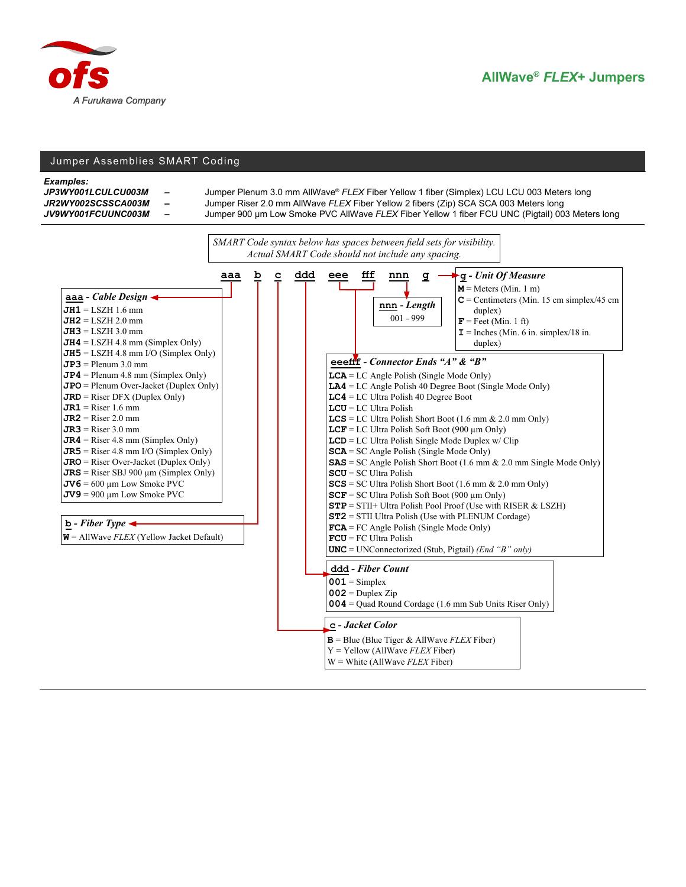

### Jumper Assemblies SMART Coding

*Examples:*

*Jumper Plenum 3.0 mm AllWave® FLEX* Fiber Yellow 1 fiber (Simplex) LCU LCU 003 Meters long *JR2WY002SCSSCA003M –* Jumper Riser 2.0 mm AllWave *FLEX* Fiber Yellow 2 fibers (Zip) SCA SCA 003 Meters long *JV9WY001FCUUNC003M –* Jumper 900 µm Low Smoke PVC AllWave *FLEX* Fiber Yellow 1 fiber FCU UNC (Pigtail) 003 Meters long